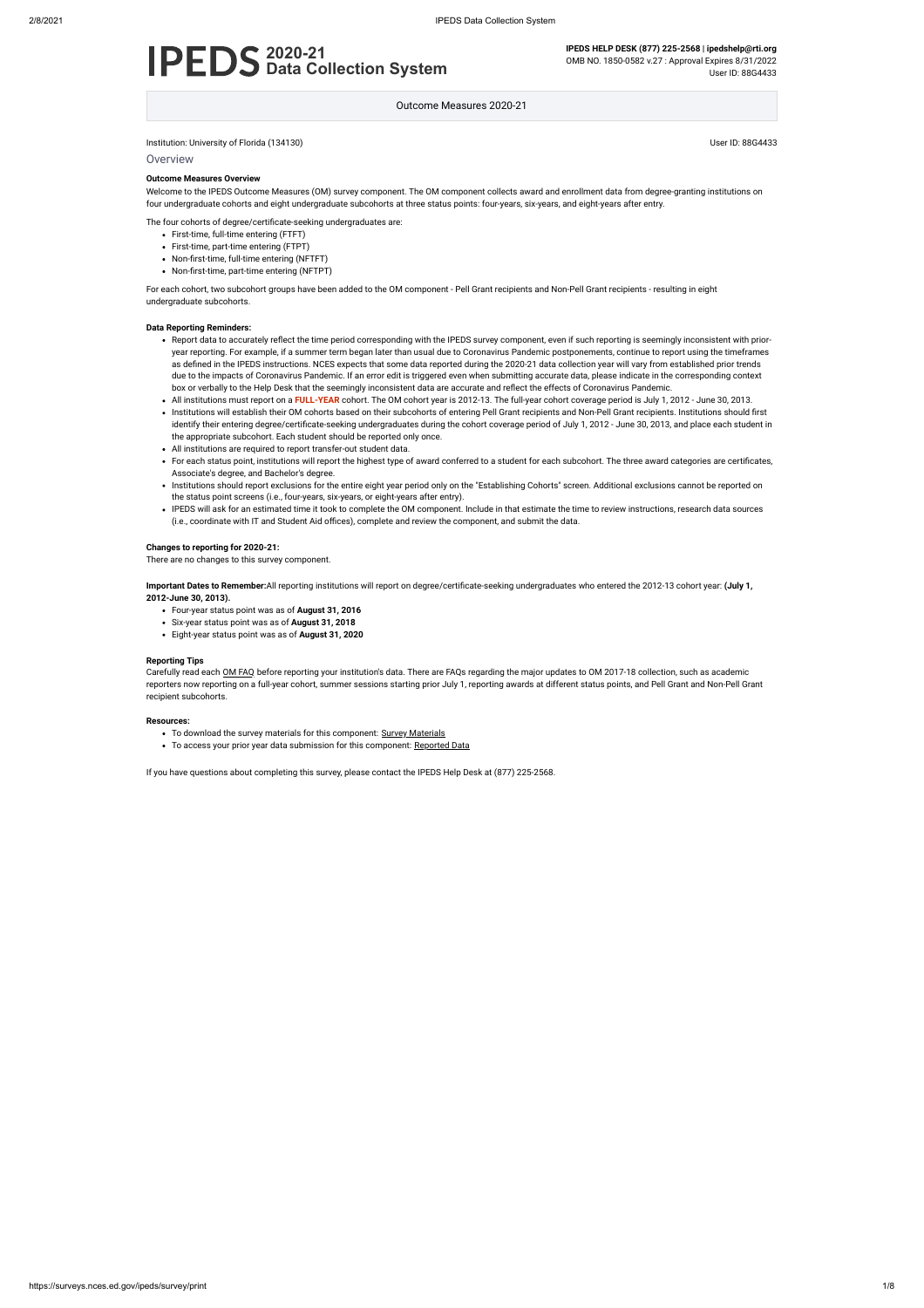Institution: University of Florida (134130) User ID: 88G4433

**Overview** 

# **2020-21 Data Collection System**

**IPEDS HELP DESK (877) 225-2568 | ipedshelp@rti.org** OMB NO. 1850-0582 v.27 : Approval Expires 8/31/2022

User ID: 88G4433

Outcome Measures 2020-21

#### **Outcome Measures Overview**

Welcome to the IPEDS Outcome Measures (OM) survey component. The OM component collects award and enrollment data from degree-granting institutions on four undergraduate cohorts and eight undergraduate subcohorts at three status points: four-years, six-years, and eight-years after entry.

The four cohorts of degree/certificate-seeking undergraduates are:

- First-time, full-time entering (FTFT)
- First-time, part-time entering (FTPT)
- Non-first-time, full-time entering (NFTFT)
- Non-first-time, part-time entering (NFTPT)

For each cohort, two subcohort groups have been added to the OM component - Pell Grant recipients and Non-Pell Grant recipients - resulting in eight undergraduate subcohorts.

#### **Data Reporting Reminders:**

Carefully read each OM [FAQ](https://surveys.nces.ed.gov/ipeds/public/survey-materials/faq?faqid=14) before reporting your institution's data. There are FAQs regarding the major updates to OM 2017-18 collection, such as academic reporters now reporting on a full-year cohort, summer sessions starting prior July 1, reporting awards at different status points, and Pell Grant and Non-Pell Grant recipient subcohorts.

- Report data to accurately reflect the time period corresponding with the IPEDS survey component, even if such reporting is seemingly inconsistent with prioryear reporting. For example, if a summer term began later than usual due to Coronavirus Pandemic postponements, continue to report using the timeframes as defined in the IPEDS instructions. NCES expects that some data reported during the 2020-21 data collection year will vary from established prior trends due to the impacts of Coronavirus Pandemic. If an error edit is triggered even when submitting accurate data, please indicate in the corresponding context box or verbally to the Help Desk that the seemingly inconsistent data are accurate and reflect the effects of Coronavirus Pandemic.
- All institutions must report on a **FULL-YEAR** cohort. The OM cohort year is 2012-13. The full-year cohort coverage period is July 1, 2012 June 30, 2013.
- Institutions will establish their OM cohorts based on their subcohorts of entering Pell Grant recipients and Non-Pell Grant recipients. Institutions should first identify their entering degree/certificate-seeking undergraduates during the cohort coverage period of July 1, 2012 - June 30, 2013, and place each student in the appropriate subcohort. Each student should be reported only once.
- All institutions are required to report transfer-out student data.
- For each status point, institutions will report the highest type of award conferred to a student for each subcohort. The three award categories are certificates, Associate's degree, and Bachelor's degree.
- Institutions should report exclusions for the entire eight year period only on the "Establishing Cohorts" screen. Additional exclusions cannot be reported on the status point screens (i.e., four-years, six-years, or eight-years after entry).
- IPEDS will ask for an estimated time it took to complete the OM component. Include in that estimate the time to review instructions, research data sources (i.e., coordinate with IT and Student Aid offices), complete and review the component, and submit the data.

#### **Changes to reporting for 2020-21:**

There are no changes to this survey component.

**Important Dates to Remember:**All reporting institutions will report on degree/certificate-seeking undergraduates who entered the 2012-13 cohort year: **(July 1, 2012-June 30, 2013).**

- Four-year status point was as of **August 31, 2016**
- Six-year status point was as of **August 31, 2018**
- Eight-year status point was as of **August 31, 2020**

#### **Reporting Tips**

#### **Resources:**

- To download the survey materials for this component: Survey [Materials](https://surveys.nces.ed.gov/ipeds/public/survey-materials/index)
- To access your prior year data submission for this component: [Reported Data](https://surveys.nces.ed.gov/IPEDS_py/DataForms.aspx?f0e9e4efc4dfb8acaeafacaeaba1eef0edf1e0f4c4dfb8acaea1f0eee0edc4dfb8b3b3c2afafaeaea1f0e9e4efc9dce8e0b8d0e9e4f1e0edeee4eff49beae19bc1e7eaede4dfdca1ebedeadee0eeeeb8e0f3efe0ede9dce7a1eddfefb8adaab3aaadabadac9bafb5b0abb5abac9bcbc8)

If you have questions about completing this survey, please contact the IPEDS Help Desk at (877) 225-2568.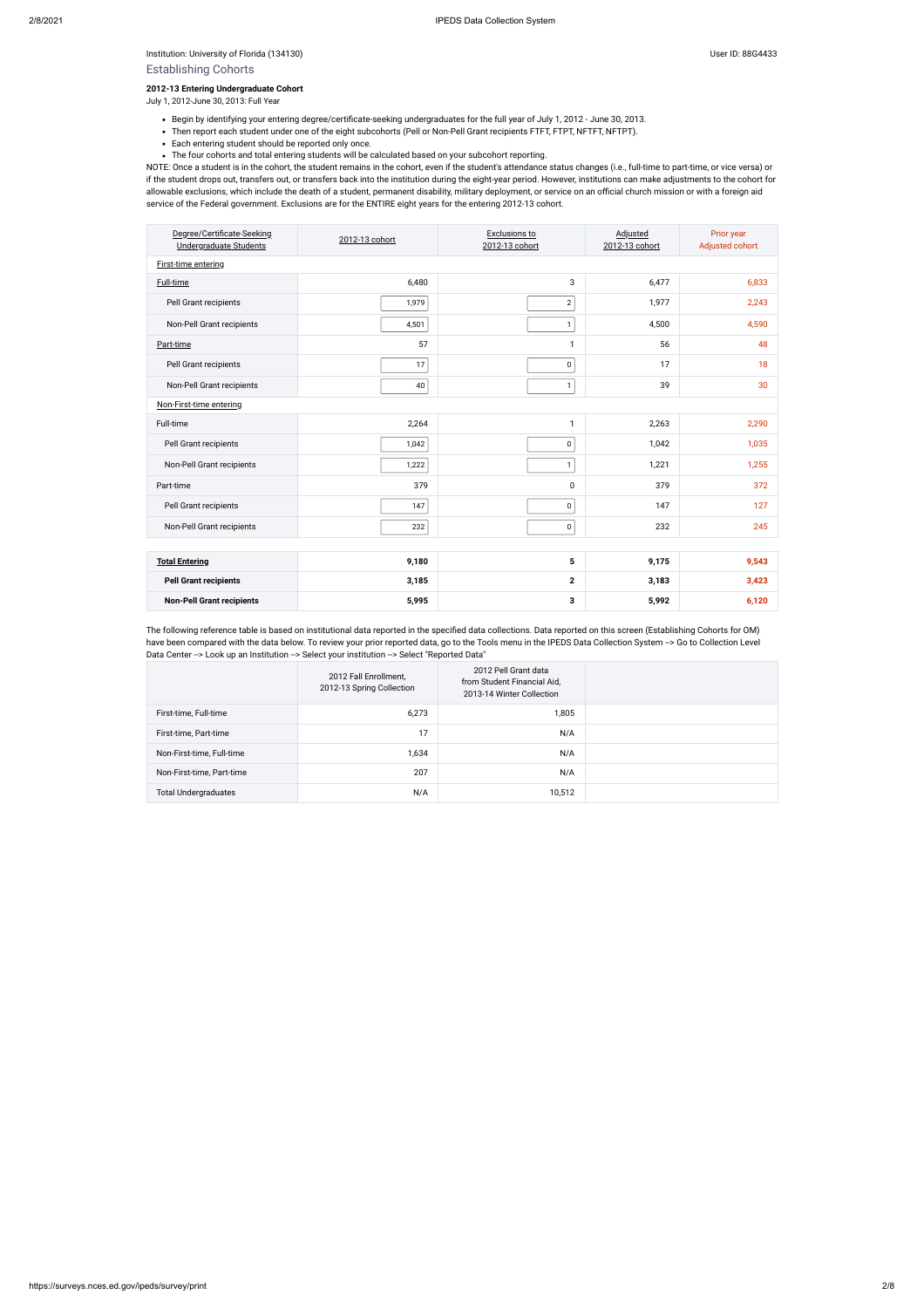Institution: University of Florida (134130) Superintendial and Superintendial User ID: 88G4433

### Establishing Cohorts

#### **2012-13 Entering Undergraduate Cohort**

July 1, 2012-June 30, 2013: Full Year

- Begin by identifying your entering degree/certificate-seeking undergraduates for the full year of July 1, 2012 June 30, 2013.
- Then report each student under one of the eight subcohorts (Pell or Non-Pell Grant recipients FTFT, FTPT, NFTFT, NFTPT).
- Each entering student should be reported only once.
- The four cohorts and total entering students will be calculated based on your subcohort reporting.

NOTE: Once a student is in the cohort, the student remains in the cohort, even if the student's attendance status changes (i.e., full-time to part-time, or vice versa) or if the student drops out, transfers out, or transfers back into the institution during the eight-year period. However, institutions can make adjustments to the cohort for allowable exclusions, which include the death of a student, permanent disability, military deployment, or service on an official church mission or with a foreign aid service of the Federal government. Exclusions are for the ENTIRE eight years for the entering 2012-13 cohort.

The following reference table is based on institutional data reported in the specified data collections. Data reported on this screen (Establishing Cohorts for OM) have been compared with the data below. To review your prior reported data, go to the Tools menu in the IPEDS Data Collection System --> Go to Collection Level Data Center -- > Look up an Institution -- > Select your institution -- > Select "Reported Data"

| Degree/Certificate-Seeking<br>Undergraduate Students | 2012-13 cohort | Exclusions to<br>2012-13 cohort | Adjusted<br>2012-13 cohort | Prior year<br>Adjusted cohort |
|------------------------------------------------------|----------------|---------------------------------|----------------------------|-------------------------------|
| First-time entering                                  |                |                                 |                            |                               |
| Full-time                                            | 6,480          | 3                               | 6,477                      | 6,833                         |
| Pell Grant recipients                                | 1,979          | $\overline{2}$                  | 1,977                      | 2,243                         |
| Non-Pell Grant recipients                            | 4,501          | $\mathbf{1}$                    | 4,500                      | 4,590                         |
| Part-time                                            | 57             | $\mathbf{1}$                    | 56                         | 48                            |
| Pell Grant recipients                                | 17             | 0                               | 17                         | 18                            |
| Non-Pell Grant recipients                            | 40             | $\mathbf{1}$                    | 39                         | 30                            |
| Non-First-time entering                              |                |                                 |                            |                               |
| Full-time                                            | 2,264          | $\mathbf{1}$                    | 2,263                      | 2,290                         |
| Pell Grant recipients                                | 1,042          | 0                               | 1,042                      | 1,035                         |
| Non-Pell Grant recipients                            | 1,222          | $\mathbf{1}$                    | 1,221                      | 1,255                         |
| Part-time                                            | 379            | $\pmb{0}$                       | 379                        | 372                           |
| Pell Grant recipients                                | 147            | 0                               | 147                        | 127                           |
| Non-Pell Grant recipients                            | 232            | 0                               | 232                        | 245                           |
|                                                      |                |                                 |                            |                               |
| <b>Total Entering</b>                                | 9,180          | 5                               | 9,175                      | 9,543                         |
| <b>Pell Grant recipients</b>                         | 3,185          | $\mathbf{2}$                    | 3,183                      | 3,423                         |
| <b>Non-Pell Grant recipients</b>                     | 5,995          | 3                               | 5,992                      | 6,120                         |

|                             | 2012 Fall Enrollment,<br>2012-13 Spring Collection | 2012 Pell Grant data<br>from Student Financial Aid,<br>2013-14 Winter Collection |  |
|-----------------------------|----------------------------------------------------|----------------------------------------------------------------------------------|--|
| First-time, Full-time       | 6,273                                              | 1,805                                                                            |  |
| First-time, Part-time       | 17                                                 | N/A                                                                              |  |
| Non-First-time, Full-time   | 1,634                                              | N/A                                                                              |  |
| Non-First-time, Part-time   | 207                                                | N/A                                                                              |  |
| <b>Total Undergraduates</b> | N/A                                                | 10,512                                                                           |  |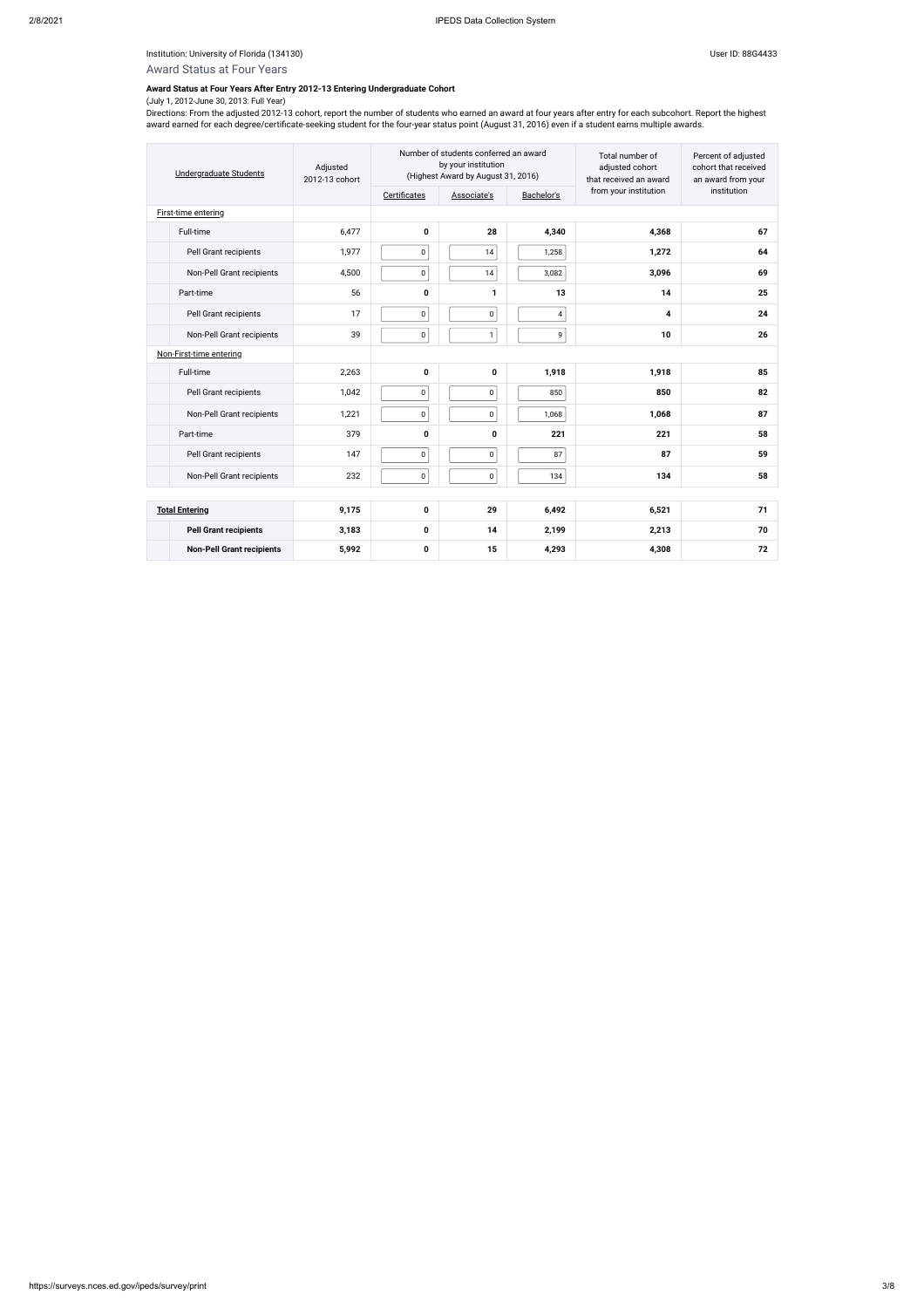### Institution: University of Florida (134130) Controlled to the USB of Australian User ID: 88G4433

# Award Status at Four Years

### **Award Status at Four Years After Entry 2012-13 Entering Undergraduate Cohort**

### (July 1, 2012-June 30, 2013: Full Year)

Directions: From the adjusted 2012-13 cohort, report the number of students who earned an award at four years after entry for each subcohort. Report the highest award earned for each degree/certificate-seeking student for the four-year status point (August 31, 2016) even if a student earns multiple awards.

| <b>Undergraduate Students</b> |                                  | Adjusted<br>2012-13 cohort |              | Number of students conferred an award<br>by your institution<br>(Highest Award by August 31, 2016) |            | Total number of<br>adjusted cohort<br>that received an award | Percent of adjusted<br>cohort that received<br>an award from your |  |
|-------------------------------|----------------------------------|----------------------------|--------------|----------------------------------------------------------------------------------------------------|------------|--------------------------------------------------------------|-------------------------------------------------------------------|--|
|                               |                                  |                            | Certificates | Associate's                                                                                        | Bachelor's | from your institution                                        | institution                                                       |  |
| First-time entering           |                                  |                            |              |                                                                                                    |            |                                                              |                                                                   |  |
| Full-time                     |                                  | 6,477                      | 0            | 28                                                                                                 | 4,340      | 4,368                                                        | 67                                                                |  |
| Pell Grant recipients         |                                  | 1,977                      | $\pmb{0}$    | 14                                                                                                 | 1,258      | 1,272                                                        | 64                                                                |  |
|                               | Non-Pell Grant recipients        | 4,500                      | $\pmb{0}$    | 14                                                                                                 | 3,082      | 3,096                                                        | 69                                                                |  |
| Part-time                     |                                  | 56                         | 0            | 1                                                                                                  | 13         | 14                                                           | 25                                                                |  |
| Pell Grant recipients         |                                  | 17                         | $\pmb{0}$    | $\pmb{0}$                                                                                          | 4          | 4                                                            | 24                                                                |  |
|                               | Non-Pell Grant recipients        | 39                         | $\pmb{0}$    | $\mathbf{1}$                                                                                       | 9          | 10                                                           | 26                                                                |  |
| Non-First-time entering       |                                  |                            |              |                                                                                                    |            |                                                              |                                                                   |  |
| Full-time                     |                                  | 2,263                      | 0            | $\mathbf 0$                                                                                        | 1,918      | 1,918                                                        | 85                                                                |  |
| Pell Grant recipients         |                                  | 1,042                      | $\pmb{0}$    | $\pmb{0}$                                                                                          | 850        | 850                                                          | 82                                                                |  |
|                               | Non-Pell Grant recipients        | 1,221                      | $\pmb{0}$    | 0                                                                                                  | 1,068      | 1,068                                                        | 87                                                                |  |
| Part-time                     |                                  | 379                        | 0            | 0                                                                                                  | 221        | 221                                                          | 58                                                                |  |
| Pell Grant recipients         |                                  | 147                        | $\pmb{0}$    | $\mathsf 0$                                                                                        | 87         | 87                                                           | 59                                                                |  |
|                               | Non-Pell Grant recipients        | 232                        | 0            | $\boldsymbol{0}$                                                                                   | 134        | 134                                                          | 58                                                                |  |
|                               |                                  |                            |              |                                                                                                    |            |                                                              |                                                                   |  |
| <b>Total Entering</b>         |                                  | 9,175                      | 0            | 29                                                                                                 | 6,492      | 6,521                                                        | 71                                                                |  |
|                               | <b>Pell Grant recipients</b>     | 3,183                      | 0            | 14                                                                                                 | 2,199      | 2,213                                                        | 70                                                                |  |
|                               | <b>Non-Pell Grant recipients</b> | 5,992                      | 0            | 15                                                                                                 | 4,293      | 4,308                                                        | 72                                                                |  |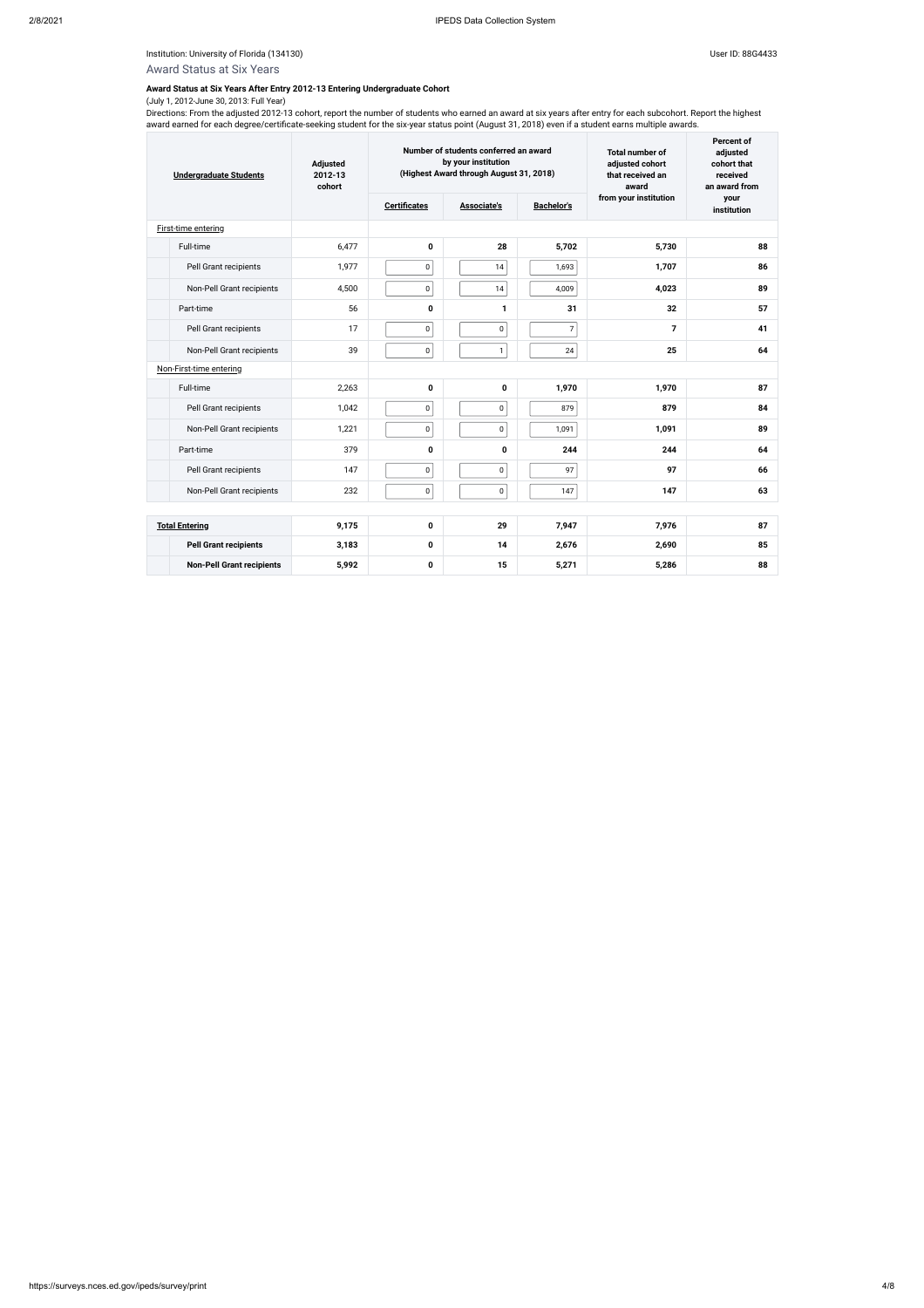### Institution: University of Florida (134130) Controlled to the USB of Australian User ID: 88G4433

# Award Status at Six Years

### **Award Status at Six Years After Entry 2012-13 Entering Undergraduate Cohort**

### (July 1, 2012-June 30, 2013: Full Year)

Directions: From the adjusted 2012-13 cohort, report the number of students who earned an award at six years after entry for each subcohort. Report the highest award earned for each degree/certificate-seeking student for the six-year status point (August 31, 2018) even if a student earns multiple awards.

| <b>Undergraduate Students</b> |                                  | Number of students conferred an award<br>by your institution<br><b>Adjusted</b><br>(Highest Award through August 31, 2018)<br>2012-13<br>cohort |                     |              |                          | <b>Total number of</b><br>adjusted cohort<br>that received an<br>award | Percent of<br>adjusted<br>cohort that<br>received<br>an award from |  |
|-------------------------------|----------------------------------|-------------------------------------------------------------------------------------------------------------------------------------------------|---------------------|--------------|--------------------------|------------------------------------------------------------------------|--------------------------------------------------------------------|--|
|                               |                                  |                                                                                                                                                 | <b>Certificates</b> | Associate's  | <b>Bachelor's</b>        | from your institution                                                  | your<br>institution                                                |  |
|                               | First-time entering              |                                                                                                                                                 |                     |              |                          |                                                                        |                                                                    |  |
|                               | Full-time                        | 6,477                                                                                                                                           | 0                   | 28           | 5,702                    | 5,730                                                                  | 88                                                                 |  |
|                               | Pell Grant recipients            | 1,977                                                                                                                                           | $\pmb{0}$           | 14           | 1,693                    | 1,707                                                                  | 86                                                                 |  |
|                               | Non-Pell Grant recipients        | 4,500                                                                                                                                           | $\pmb{0}$           | $14$         | 4,009                    | 4,023                                                                  | 89                                                                 |  |
|                               | Part-time                        | 56                                                                                                                                              | 0                   | 1            | 31                       | 32                                                                     | 57                                                                 |  |
|                               | Pell Grant recipients            | 17                                                                                                                                              | $\mathsf 0$         | $\mathbf 0$  | $\overline{\mathcal{I}}$ | $\overline{7}$                                                         | 41                                                                 |  |
|                               | Non-Pell Grant recipients        | 39                                                                                                                                              | $\pmb{0}$           | $\mathbf{1}$ | 24                       | 25                                                                     | 64                                                                 |  |
|                               | Non-First-time entering          |                                                                                                                                                 |                     |              |                          |                                                                        |                                                                    |  |
|                               | Full-time                        | 2,263                                                                                                                                           | 0                   | 0            | 1,970                    | 1,970                                                                  | 87                                                                 |  |
|                               | Pell Grant recipients            | 1,042                                                                                                                                           | $\mathsf 0$         | 0            | 879                      | 879                                                                    | 84                                                                 |  |
|                               | Non-Pell Grant recipients        | 1,221                                                                                                                                           | 0                   | 0            | 1,091                    | 1,091                                                                  | 89                                                                 |  |
|                               | Part-time                        | 379                                                                                                                                             | 0                   | $\mathbf 0$  | 244                      | 244                                                                    | 64                                                                 |  |
|                               | Pell Grant recipients            | 147                                                                                                                                             | $\mathsf 0$         | $\mathbf 0$  | 97                       | 97                                                                     | 66                                                                 |  |
|                               | Non-Pell Grant recipients        | 232                                                                                                                                             | $\pmb{0}$           | 0            | 147                      | 147                                                                    | 63                                                                 |  |
|                               |                                  |                                                                                                                                                 |                     |              |                          |                                                                        |                                                                    |  |
|                               | <b>Total Entering</b>            | 9,175                                                                                                                                           | 0                   | 29           | 7,947                    | 7,976                                                                  | 87                                                                 |  |
|                               | <b>Pell Grant recipients</b>     | 3,183                                                                                                                                           | 0                   | 14           | 2,676                    | 2,690                                                                  | 85                                                                 |  |
|                               | <b>Non-Pell Grant recipients</b> | 5,992                                                                                                                                           | 0                   | 15           | 5,271                    | 5,286                                                                  | 88                                                                 |  |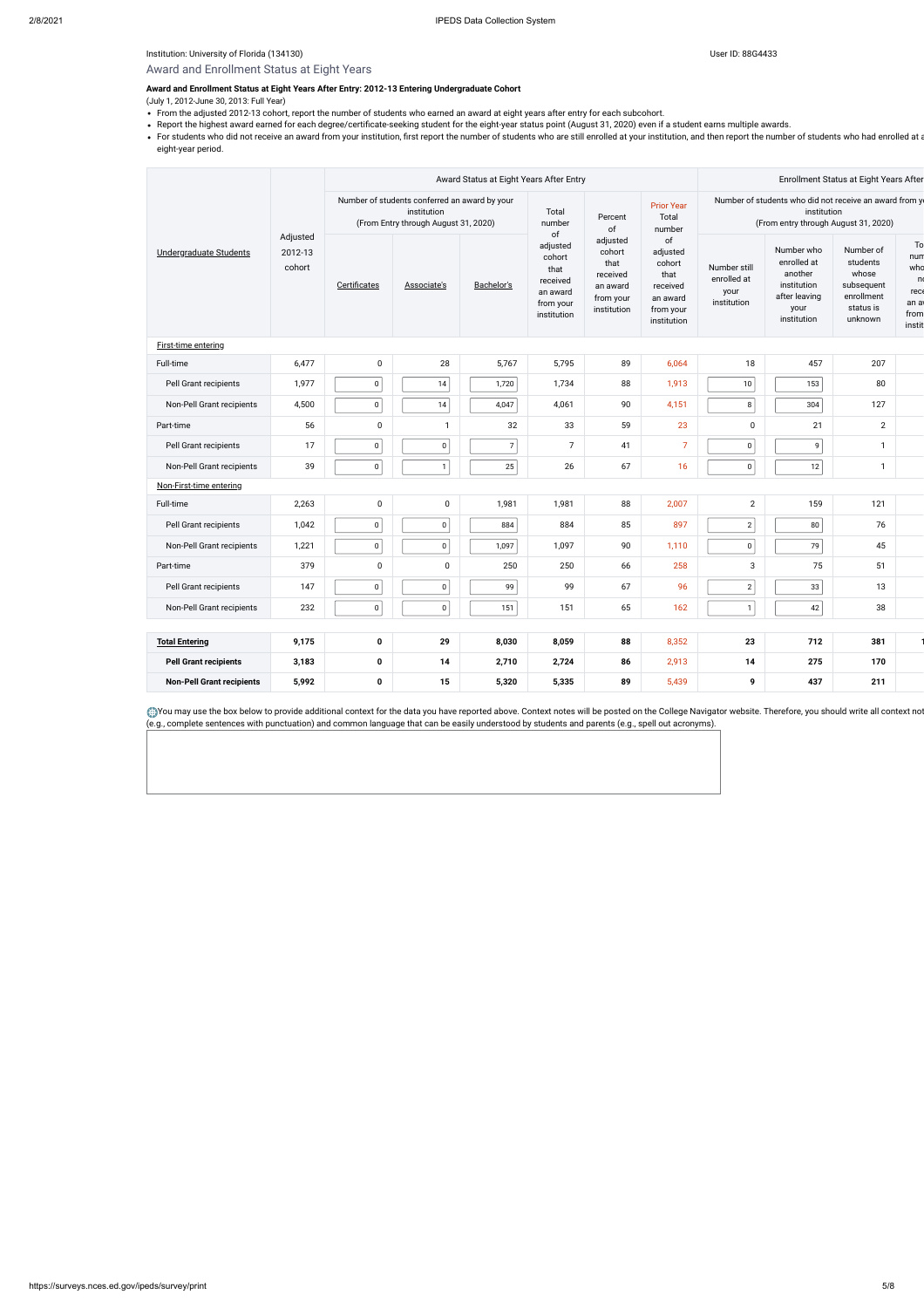### Institution: University of Florida (134130) Controlled to the USB of Australian User ID: 88G4433

# Award and Enrollment Status at Eight Years

#### **Award and Enrollment Status at Eight Years After Entry: 2012-13 Entering Undergraduate Cohort**

(July 1, 2012-June 30, 2013: Full Year)

- From the adjusted 2012-13 cohort, report the number of students who earned an award at eight years after entry for each subcohort.
- Report the highest award earned for each degree/certificate-seeking student for the eight-year status point (August 31, 2020) even if a student earns multiple awards.
- For students who did not receive an award from your institution, first report the number of students who are still enrolled at your institution, and then report the number of students who had enrolled at a eight-year period.

You may use the box below to provide additional context for the data you have reported above. Context notes will be posted on the College Navigator website. Therefore, you should write all context notext notes (e.g., complete sentences with punctuation) and common language that can be easily understood by students and parents (e.g., spell out acronyms).

|                                  |                                               | Award Status at Eight Years After Entry                                                              |              |                |                                                                                      |                                                                                |                                                                                                 |                                                                                                               | Enrollment Status at Eight Years After                                                      |                                                                                    |                                                        |  |
|----------------------------------|-----------------------------------------------|------------------------------------------------------------------------------------------------------|--------------|----------------|--------------------------------------------------------------------------------------|--------------------------------------------------------------------------------|-------------------------------------------------------------------------------------------------|---------------------------------------------------------------------------------------------------------------|---------------------------------------------------------------------------------------------|------------------------------------------------------------------------------------|--------------------------------------------------------|--|
| Undergraduate Students           | Adjusted<br>2012-13<br>cohort<br>Certificates | Number of students conferred an award by your<br>institution<br>(From Entry through August 31, 2020) |              |                | Total<br>number                                                                      | Percent<br>of                                                                  | <b>Prior Year</b><br>Total<br>number                                                            | Number of students who did not receive an award from y<br>institution<br>(From entry through August 31, 2020) |                                                                                             |                                                                                    |                                                        |  |
|                                  |                                               |                                                                                                      | Associate's  | Bachelor's     | of<br>adjusted<br>cohort<br>that<br>received<br>an award<br>from your<br>institution | adjusted<br>cohort<br>that<br>received<br>an award<br>from your<br>institution | $\mathsf{of}$<br>adjusted<br>cohort<br>that<br>received<br>an award<br>from your<br>institution | Number still<br>enrolled at<br>your<br>institution                                                            | Number who<br>enrolled at<br>another<br>institution<br>after leaving<br>your<br>institution | Number of<br>students<br>whose<br>subsequent<br>enrollment<br>status is<br>unknown | To<br>nun<br>who<br>n<br>rec<br>an a<br>from<br>instit |  |
| <b>First-time entering</b>       |                                               |                                                                                                      |              |                |                                                                                      |                                                                                |                                                                                                 |                                                                                                               |                                                                                             |                                                                                    |                                                        |  |
| Full-time                        | 6,477                                         | 0                                                                                                    | 28           | 5,767          | 5,795                                                                                | 89                                                                             | 6,064                                                                                           | 18                                                                                                            | 457                                                                                         | 207                                                                                |                                                        |  |
| Pell Grant recipients            | 1,977                                         | $\mathsf 0$                                                                                          | 14           | 1,720          | 1,734                                                                                | 88                                                                             | 1,913                                                                                           | 10 <sup>°</sup>                                                                                               | 153                                                                                         | 80                                                                                 |                                                        |  |
| Non-Pell Grant recipients        | 4,500                                         | $\mathbf 0$                                                                                          | 14           | 4,047          | 4,061                                                                                | 90                                                                             | 4,151                                                                                           | 8 <sup>1</sup>                                                                                                | 304                                                                                         | 127                                                                                |                                                        |  |
| Part-time                        | 56                                            | 0                                                                                                    | $\mathbf{1}$ | 32             | 33                                                                                   | 59                                                                             | 23                                                                                              | $\mathbf 0$                                                                                                   | 21                                                                                          | $\overline{2}$                                                                     |                                                        |  |
| Pell Grant recipients            | 17                                            | $\mathbf 0$                                                                                          | $\pmb{0}$    | $\overline{7}$ | $\overline{7}$                                                                       | 41                                                                             | $\overline{7}$                                                                                  | $\mathbf 0$                                                                                                   | 9                                                                                           | $\mathbf{1}$                                                                       |                                                        |  |
| Non-Pell Grant recipients        | 39                                            | $\mathbf 0$                                                                                          | $\mathbf{1}$ | 25             | 26                                                                                   | 67                                                                             | 16                                                                                              | 0                                                                                                             | 12                                                                                          | $\mathbf{1}$                                                                       |                                                        |  |
| Non-First-time entering          |                                               |                                                                                                      |              |                |                                                                                      |                                                                                |                                                                                                 |                                                                                                               |                                                                                             |                                                                                    |                                                        |  |
| Full-time                        | 2,263                                         | 0                                                                                                    | 0            | 1,981          | 1,981                                                                                | 88                                                                             | 2,007                                                                                           | $\overline{2}$                                                                                                | 159                                                                                         | 121                                                                                |                                                        |  |
| Pell Grant recipients            | 1,042                                         | $\mathbf 0$                                                                                          | $\mathbf 0$  | 884            | 884                                                                                  | 85                                                                             | 897                                                                                             | 2                                                                                                             | 80                                                                                          | 76                                                                                 |                                                        |  |
| Non-Pell Grant recipients        | 1,221                                         | $\mathbf 0$                                                                                          | $\pmb{0}$    | 1,097          | 1,097                                                                                | 90                                                                             | 1,110                                                                                           | $\overline{0}$                                                                                                | 79                                                                                          | 45                                                                                 |                                                        |  |
| Part-time                        | 379                                           | 0                                                                                                    | $\mathbf 0$  | 250            | 250                                                                                  | 66                                                                             | 258                                                                                             | 3                                                                                                             | 75                                                                                          | 51                                                                                 |                                                        |  |
| Pell Grant recipients            | 147                                           | $\mathbf 0$                                                                                          | $\pmb{0}$    | 99             | 99                                                                                   | 67                                                                             | 96                                                                                              | $\overline{2}$                                                                                                | 33                                                                                          | 13                                                                                 |                                                        |  |
| Non-Pell Grant recipients        | 232                                           | $\mathbf 0$                                                                                          | $\mathbf 0$  | 151            | 151                                                                                  | 65                                                                             | 162                                                                                             | $\mathbf{1}$                                                                                                  | 42                                                                                          | 38                                                                                 |                                                        |  |
|                                  |                                               |                                                                                                      |              |                |                                                                                      |                                                                                |                                                                                                 |                                                                                                               |                                                                                             |                                                                                    |                                                        |  |
| <b>Total Entering</b>            | 9,175                                         | 0                                                                                                    | 29           | 8,030          | 8,059                                                                                | 88                                                                             | 8,352                                                                                           | 23                                                                                                            | 712                                                                                         | 381                                                                                |                                                        |  |
| <b>Pell Grant recipients</b>     | 3,183                                         | 0                                                                                                    | 14           | 2,710          | 2,724                                                                                | 86                                                                             | 2,913                                                                                           | 14                                                                                                            | 275                                                                                         | 170                                                                                |                                                        |  |
| <b>Non-Pell Grant recipients</b> | 5,992                                         | 0                                                                                                    | 15           | 5,320          | 5,335                                                                                | 89                                                                             | 5,439                                                                                           | 9                                                                                                             | 437                                                                                         | 211                                                                                |                                                        |  |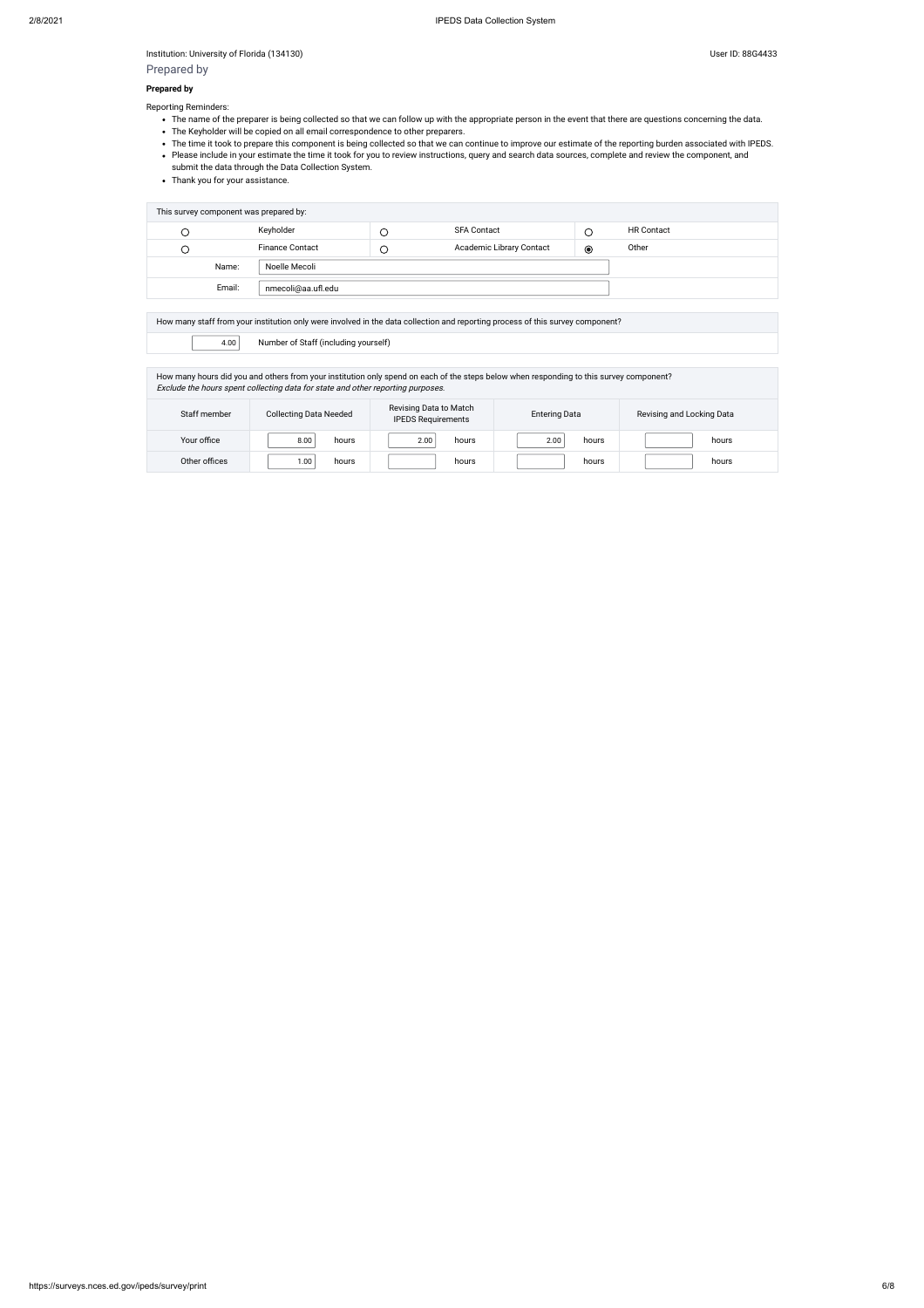Institution: University of Florida (134130) Superintendial and Superintendial User ID: 88G4433

Prepared by

#### **Prepared by**

Reporting Reminders:

- . The name of the preparer is being collected so that we can follow up with the appropriate person in the event that there are questions concerning the data.
- The Keyholder will be copied on all email correspondence to other preparers.
- The time it took to prepare this component is being collected so that we can continue to improve our estimate of the reporting burden associated with IPEDS.
- Please include in your estimate the time it took for you to review instructions, query and search data sources, complete and review the component, and submit the data through the Data Collection System.
- Thank you for your assistance.

| This survey component was prepared by: |                        |  |                                 |                |                   |  |  |
|----------------------------------------|------------------------|--|---------------------------------|----------------|-------------------|--|--|
| C                                      | Keyholder              |  | <b>SFA Contact</b>              |                | <b>HR Contact</b> |  |  |
| C                                      | <b>Finance Contact</b> |  | <b>Academic Library Contact</b> | $\circledcirc$ | Other             |  |  |
| Name:                                  | Noelle Mecoli          |  |                                 |                |                   |  |  |
| Email:                                 |                        |  |                                 |                |                   |  |  |

How many staff from your institution only were involved in the data collection and reporting process of this survey component?

4.00 Number of Staff (including yourself)

How many hours did you and others from your institution only spend on each of the steps below when responding to this survey component? Exclude the hours spent collecting data for state and other reporting purposes. Entering Data Revising and Locking Data

| Staff member  | <b>Collecting Data Needed</b> | Revising Data to Match<br><b>IPEDS Requirements</b> | <b>Entering Data</b> | Revising and Locking Data |  |
|---------------|-------------------------------|-----------------------------------------------------|----------------------|---------------------------|--|
| Your office   | 8.00<br>hours                 | 2.00<br>hours                                       | 2.00<br>hours        | hours                     |  |
| Other offices | 1.00<br>hours                 | hours                                               | hours                | hours                     |  |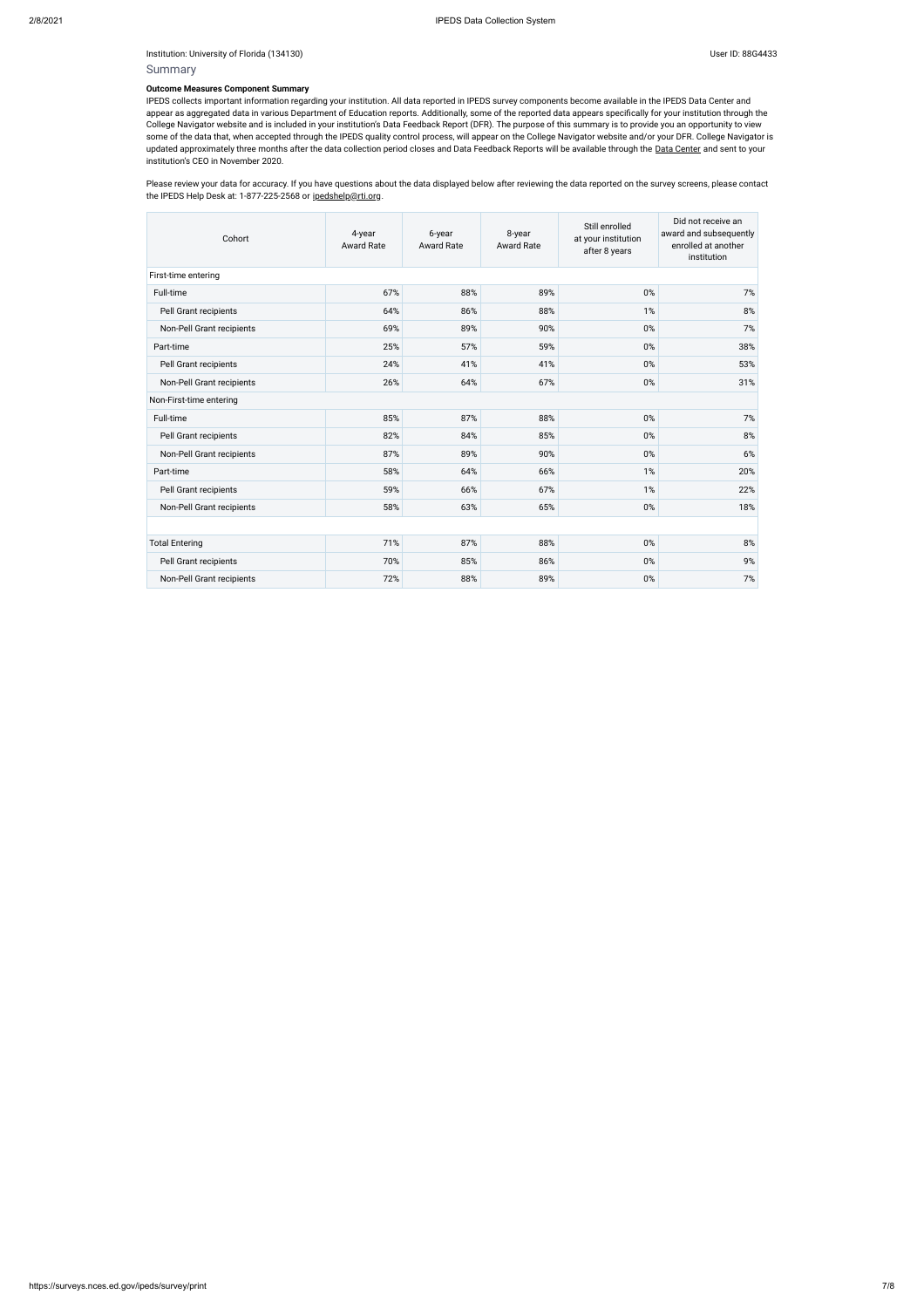Institution: University of Florida (134130) Superintendial and Superintendial User ID: 88G4433

# Summary

#### **Outcome Measures Component Summary**

Please review your data for accuracy. If you have questions about the data displayed below after reviewing the data reported on the survey screens, please contact the IPEDS Help Desk at: 1-877-225-2568 or [ipedshelp@rti.org.](mailto:ipedshelp@rti.org)

IPEDS collects important information regarding your institution. All data reported in IPEDS survey components become available in the IPEDS Data Center and appear as aggregated data in various Department of Education reports. Additionally, some of the reported data appears specifically for your institution through the College Navigator website and is included in your institution's Data Feedback Report (DFR). The purpose of this summary is to provide you an opportunity to view some of the data that, when accepted through the IPEDS quality control process, will appear on the College Navigator website and/or your DFR. College Navigator is updated approximately three months after the data collection period closes and Data Feedback Reports will be available through the Data [Center](https://nces.ed.gov/ipeds/use-the-data) and sent to your institution's CEO in November 2020.

| Cohort                    | 4-year<br><b>Award Rate</b> | 6-year<br><b>Award Rate</b> | 8-year<br><b>Award Rate</b> | Still enrolled<br>at your institution<br>after 8 years | Did not receive an<br>award and subsequently<br>enrolled at another<br>institution |
|---------------------------|-----------------------------|-----------------------------|-----------------------------|--------------------------------------------------------|------------------------------------------------------------------------------------|
| First-time entering       |                             |                             |                             |                                                        |                                                                                    |
| Full-time                 | 67%                         | 88%                         | 89%                         | 0%                                                     | 7%                                                                                 |
| Pell Grant recipients     | 64%                         | 86%                         | 88%                         | 1%                                                     | $8\%$                                                                              |
| Non-Pell Grant recipients | 69%                         | 89%                         | 90%                         | 0%                                                     | 7%                                                                                 |
| Part-time                 | 25%                         | 57%                         | 59%                         | 0%                                                     | 38%                                                                                |
| Pell Grant recipients     | 24%                         | 41%                         | 41%                         | 0%                                                     | 53%                                                                                |
| Non-Pell Grant recipients | 26%                         | 64%                         | 67%                         | 0%                                                     | 31%                                                                                |
| Non-First-time entering   |                             |                             |                             |                                                        |                                                                                    |
| Full-time                 | 85%                         | 87%                         | 88%                         | 0%                                                     | 7%                                                                                 |
| Pell Grant recipients     | 82%                         | 84%                         | 85%                         | 0%                                                     | $8%$                                                                               |
| Non-Pell Grant recipients | 87%                         | 89%                         | 90%                         | 0%                                                     | 6%                                                                                 |
| Part-time                 | 58%                         | 64%                         | 66%                         | 1%                                                     | 20%                                                                                |
| Pell Grant recipients     | 59%                         | 66%                         | 67%                         | 1%                                                     | 22%                                                                                |
| Non-Pell Grant recipients | 58%                         | 63%                         | 65%                         | 0%                                                     | 18%                                                                                |
|                           |                             |                             |                             |                                                        |                                                                                    |
| <b>Total Entering</b>     | 71%                         | 87%                         | 88%                         | 0%                                                     | 8%                                                                                 |
| Pell Grant recipients     | 70%                         | 85%                         | 86%                         | 0%                                                     | 9%                                                                                 |
| Non-Pell Grant recipients | 72%                         | 88%                         | 89%                         | 0%                                                     | 7%                                                                                 |